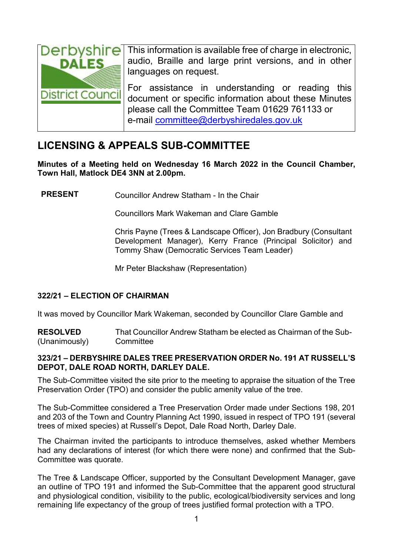

This information is available free of charge in electronic. audio, Braille and large print versions, and in other languages on request.

For assistance in understanding or reading this document or specific information about these Minutes please call the Committee Team 01629 761133 or e-mail [committee@derbyshiredales.gov.uk](mailto:committee@derbyshiredales.gov.uk)

# **LICENSING & APPEALS SUB-COMMITTEE**

**Minutes of a Meeting held on Wednesday 16 March 2022 in the Council Chamber, Town Hall, Matlock DE4 3NN at 2.00pm.**

**PRESENT** Councillor Andrew Statham - In the Chair

Councillors Mark Wakeman and Clare Gamble

Chris Payne (Trees & Landscape Officer), Jon Bradbury (Consultant Development Manager), Kerry France (Principal Solicitor) and Tommy Shaw (Democratic Services Team Leader)

Mr Peter Blackshaw (Representation)

## **322/21 – ELECTION OF CHAIRMAN**

It was moved by Councillor Mark Wakeman, seconded by Councillor Clare Gamble and

**RESOLVED** (Unanimously) That Councillor Andrew Statham be elected as Chairman of the Sub-**Committee** 

### **323/21 – DERBYSHIRE DALES TREE PRESERVATION ORDER No. 191 AT RUSSELL'S DEPOT, DALE ROAD NORTH, DARLEY DALE.**

The Sub-Committee visited the site prior to the meeting to appraise the situation of the Tree Preservation Order (TPO) and consider the public amenity value of the tree.

The Sub-Committee considered a Tree Preservation Order made under Sections 198, 201 and 203 of the Town and Country Planning Act 1990, issued in respect of TPO 191 (several trees of mixed species) at Russell's Depot, Dale Road North, Darley Dale.

The Chairman invited the participants to introduce themselves, asked whether Members had any declarations of interest (for which there were none) and confirmed that the Sub-Committee was quorate.

The Tree & Landscape Officer, supported by the Consultant Development Manager, gave an outline of TPO 191 and informed the Sub-Committee that the apparent good structural and physiological condition, visibility to the public, ecological/biodiversity services and long remaining life expectancy of the group of trees justified formal protection with a TPO.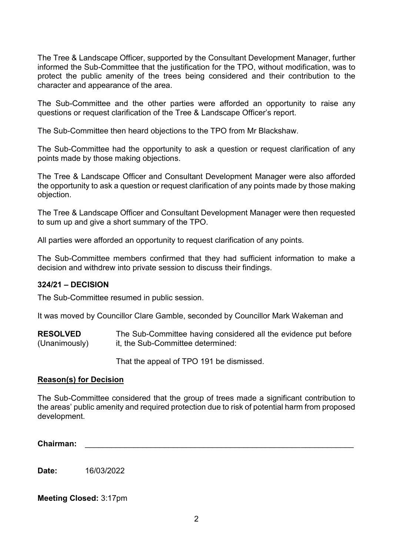The Tree & Landscape Officer, supported by the Consultant Development Manager, further informed the Sub-Committee that the justification for the TPO, without modification, was to protect the public amenity of the trees being considered and their contribution to the character and appearance of the area.

The Sub-Committee and the other parties were afforded an opportunity to raise any questions or request clarification of the Tree & Landscape Officer's report.

The Sub-Committee then heard objections to the TPO from Mr Blackshaw.

The Sub-Committee had the opportunity to ask a question or request clarification of any points made by those making objections.

The Tree & Landscape Officer and Consultant Development Manager were also afforded the opportunity to ask a question or request clarification of any points made by those making objection.

The Tree & Landscape Officer and Consultant Development Manager were then requested to sum up and give a short summary of the TPO.

All parties were afforded an opportunity to request clarification of any points.

The Sub-Committee members confirmed that they had sufficient information to make a decision and withdrew into private session to discuss their findings.

#### **324/21 – DECISION**

The Sub-Committee resumed in public session.

It was moved by Councillor Clare Gamble, seconded by Councillor Mark Wakeman and

**RESOLVED** (Unanimously) The Sub-Committee having considered all the evidence put before it, the Sub-Committee determined:

That the appeal of TPO 191 be dismissed.

#### **Reason(s) for Decision**

The Sub-Committee considered that the group of trees made a significant contribution to the areas' public amenity and required protection due to risk of potential harm from proposed development.

**Chairman:** \_\_\_\_\_\_\_\_\_\_\_\_\_\_\_\_\_\_\_\_\_\_\_\_\_\_\_\_\_\_\_\_\_\_\_\_\_\_\_\_\_\_\_\_\_\_\_\_\_\_\_\_\_\_\_\_\_\_\_\_\_

**Date:** 16/03/2022

**Meeting Closed:** 3:17pm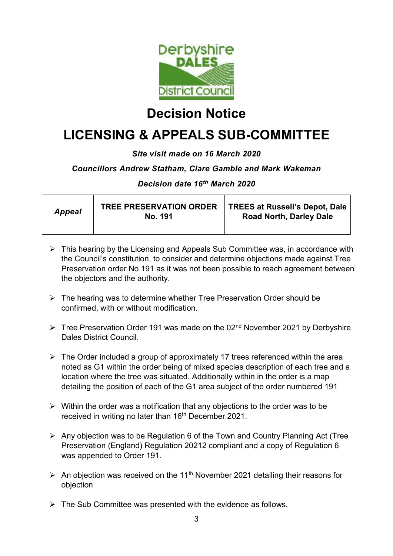

# **Decision Notice**

# **LICENSING & APPEALS SUB-COMMITTEE**

## *Site visit made on 16 March 2020*

### *Councillors Andrew Statham, Clare Gamble and Mark Wakeman*

### *Decision date 16th March 2020*

| <b>Appeal</b> | TREE PRESERVATION ORDER  <br>No. 191 | <b>TREES at Russell's Depot, Dale</b><br><b>Road North, Darley Dale</b> |
|---------------|--------------------------------------|-------------------------------------------------------------------------|
|               |                                      |                                                                         |

- $\triangleright$  This hearing by the Licensing and Appeals Sub Committee was, in accordance with the Council's constitution, to consider and determine objections made against Tree Preservation order No 191 as it was not been possible to reach agreement between the objectors and the authority.
- $\triangleright$  The hearing was to determine whether Tree Preservation Order should be confirmed, with or without modification.
- $\triangleright$  Tree Preservation Order 191 was made on the 02<sup>nd</sup> November 2021 by Derbyshire Dales District Council.
- $\triangleright$  The Order included a group of approximately 17 trees referenced within the area noted as G1 within the order being of mixed species description of each tree and a location where the tree was situated. Additionally within in the order is a map detailing the position of each of the G1 area subject of the order numbered 191
- $\triangleright$  Within the order was a notification that any objections to the order was to be received in writing no later than 16<sup>th</sup> December 2021.
- $\triangleright$  Any objection was to be Regulation 6 of the Town and Country Planning Act (Tree Preservation (England) Regulation 20212 compliant and a copy of Regulation 6 was appended to Order 191.
- An objection was received on the 11<sup>th</sup> November 2021 detailing their reasons for objection
- $\triangleright$  The Sub Committee was presented with the evidence as follows.